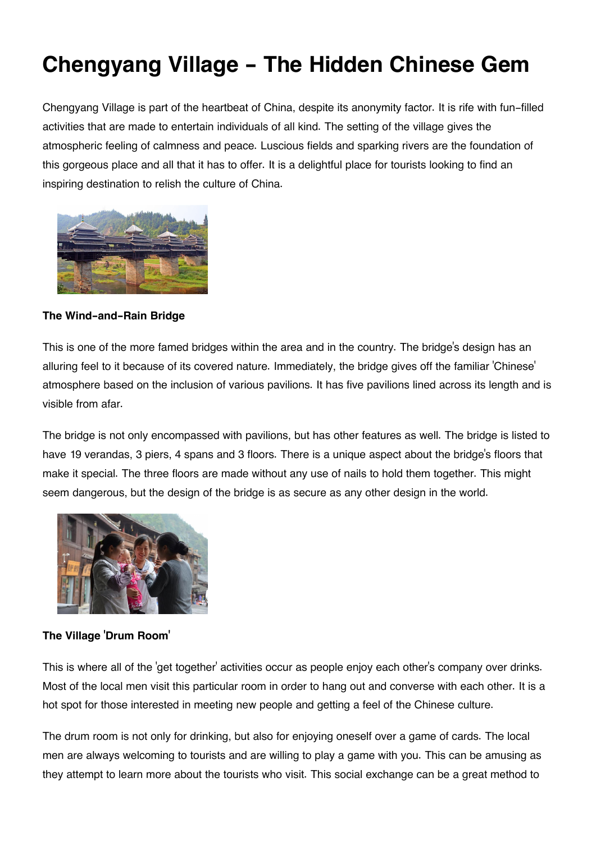## **Chengyang Village - The Hidden Chinese Gem**

Chengyang Village is part of the heartbeat of China, despite its anonymity factor. It is rife with fun-filled activities that are made to entertain individuals of all kind. The setting of the village gives the atmospheric feeling of calmness and peace. Luscious fields and sparking rivers are the foundation of this gorgeous place and all that it has to offer. It is a delightful place for tourists looking to find an inspiring destination to relish the culture of China.



**The Wind-and-Rain Bridge**

This is one of the more famed bridges within the area and in the country. The bridge's design has an alluring feel to it because of its covered nature. Immediately, the bridge gives off the familiar 'Chinese' atmosphere based on the inclusion of various pavilions. It has five pavilions lined across its length and is visible from afar.

The bridge is not only encompassed with pavilions, but has other features as well. The bridge is listed to have 19 verandas, 3 piers, 4 spans and 3 floors. There is a unique aspect about the bridge's floors that make it special. The three floors are made without any use of nails to hold them together. This might seem dangerous, but the design of the bridge is as secure as any other design in the world.



**The Village 'Drum Room'**

This is where all of the 'get together' activities occur as people enjoy each other's company over drinks. Most of the local men visit this particular room in order to hang out and converse with each other. It is a hot spot for those interested in meeting new people and getting a feel of the Chinese culture.

The drum room is not only for drinking, but also for enjoying oneself over a game of cards. The local men are always welcoming to tourists and are willing to play a game with you. This can be amusing as they attempt to learn more about the tourists who visit. This social exchange can be a great method to